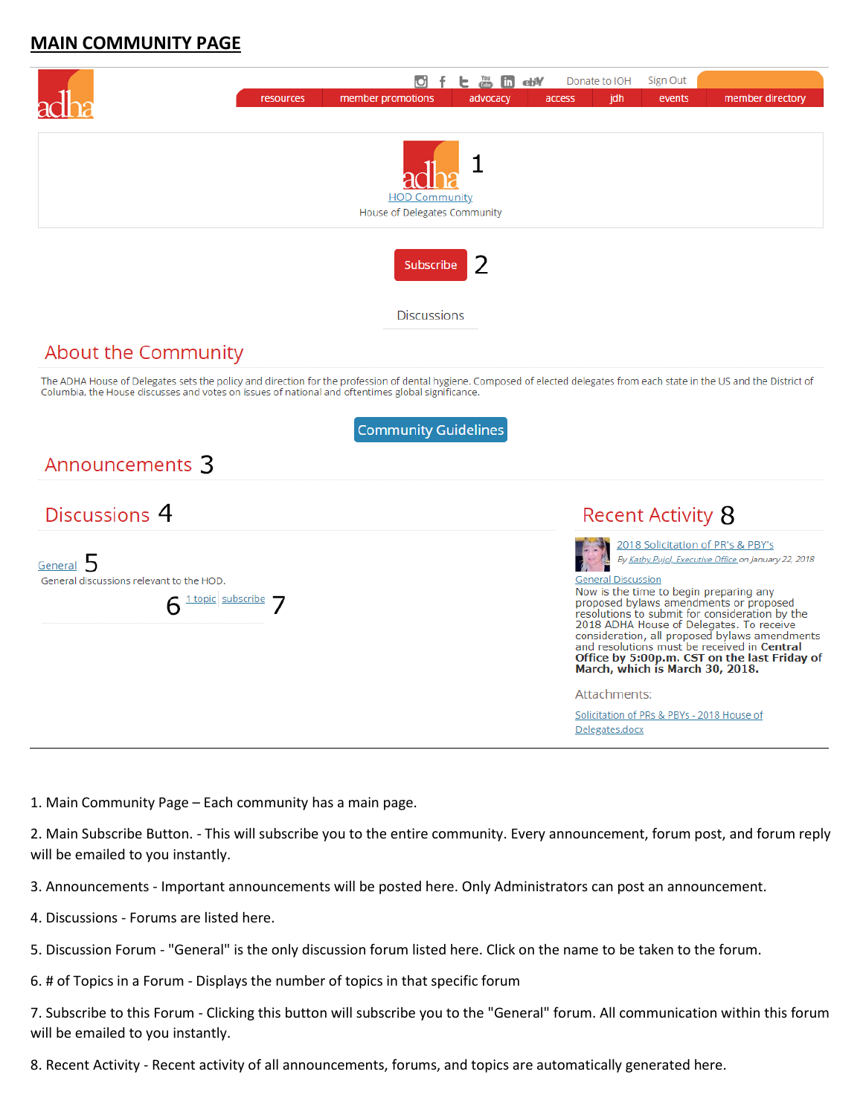### **MAIN COMMUNITY PAGE**



1. Main Community Page – Each community has a main page.

2. Main Subscribe Button. - This will subscribe you to the entire community. Every announcement, forum post, and forum reply will be emailed to you instantly.

3. Announcements - Important announcements will be posted here. Only Administrators can post an announcement.

- 4. Discussions Forums are listed here.
- 5. Discussion Forum "General" is the only discussion forum listed here. Click on the name to be taken to the forum.

6. # of Topics in a Forum - Displays the number of topics in that specific forum

7. Subscribe to this Forum - Clicking this button will subscribe you to the "General" forum. All communication within this forum will be emailed to you instantly.

8. Recent Activity - Recent activity of all announcements, forums, and topics are automatically generated here.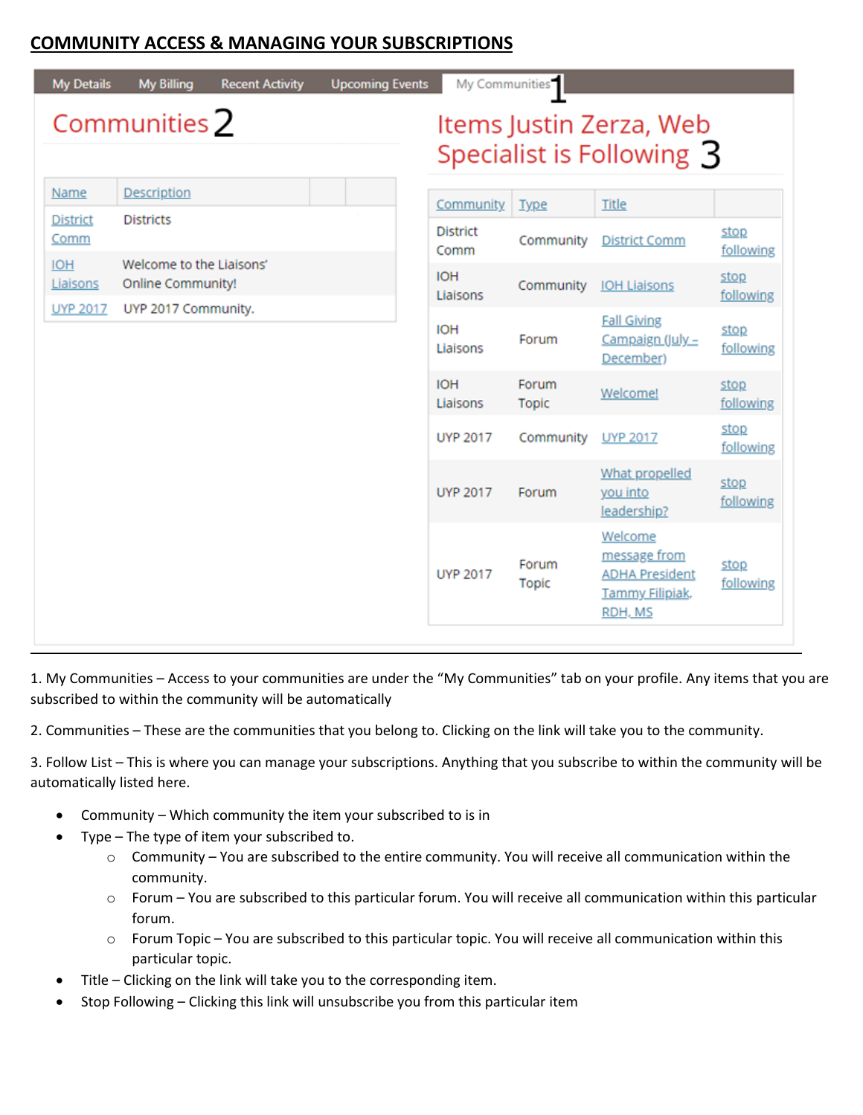## **COMMUNITY ACCESS & MANAGING YOUR SUBSCRIPTIONS**

| <b>My Details</b>       | My Billing                                                                  | <b>Recent Activity</b> | <b>Upcoming Events</b> | My Communities                                      |                       |                                                                                |                   |
|-------------------------|-----------------------------------------------------------------------------|------------------------|------------------------|-----------------------------------------------------|-----------------------|--------------------------------------------------------------------------------|-------------------|
|                         | Communities 2                                                               |                        |                        |                                                     |                       | Items Justin Zerza, Web<br>Specialist is Following 3                           |                   |
| Name                    | Description                                                                 |                        |                        | Community                                           | <b>Type</b>           | <b>Title</b>                                                                   |                   |
| <b>District</b><br>Comm | <b>Districts</b>                                                            |                        |                        | <b>District</b><br>Comm                             | Community             | <b>District Comm</b>                                                           | stop<br>following |
| <b>IOH</b><br>Liaisons  | Welcome to the Liaisons'<br><b>Online Community!</b><br>UYP 2017 Community. |                        | <b>IOH</b><br>Liaisons | Community                                           | <b>IOH Liaisons</b>   | stop<br>following                                                              |                   |
| <b>UYP 2017</b>         |                                                                             | <b>IOH</b><br>Liaisons | Forum                  | <b>Fall Giving</b><br>Campaign (July -<br>December) | stop<br>following     |                                                                                |                   |
|                         |                                                                             |                        |                        | <b>IOH</b><br>Liaisons                              | Forum<br><b>Topic</b> | Welcome!                                                                       | stop<br>following |
|                         |                                                                             | <b>UYP 2017</b>        | Community              | <b>UYP 2017</b>                                     | stop<br>following     |                                                                                |                   |
|                         |                                                                             | <b>UYP 2017</b>        | Forum                  | What propelled<br>you into<br>leadership?           | stop<br>following     |                                                                                |                   |
|                         |                                                                             |                        |                        | <b>UYP 2017</b>                                     | Forum<br><b>Topic</b> | Welcome<br>message from<br><b>ADHA President</b><br>Tammy Filipiak.<br>RDH, MS | stop<br>following |

1. My Communities – Access to your communities are under the "My Communities" tab on your profile. Any items that you are subscribed to within the community will be automatically

2. Communities – These are the communities that you belong to. Clicking on the link will take you to the community.

3. Follow List – This is where you can manage your subscriptions. Anything that you subscribe to within the community will be automatically listed here.

- Community Which community the item your subscribed to is in
- Type The type of item your subscribed to.
	- $\circ$  Community You are subscribed to the entire community. You will receive all communication within the community.
	- o Forum You are subscribed to this particular forum. You will receive all communication within this particular forum.
	- o Forum Topic You are subscribed to this particular topic. You will receive all communication within this particular topic.
- Title Clicking on the link will take you to the corresponding item.
- Stop Following Clicking this link will unsubscribe you from this particular item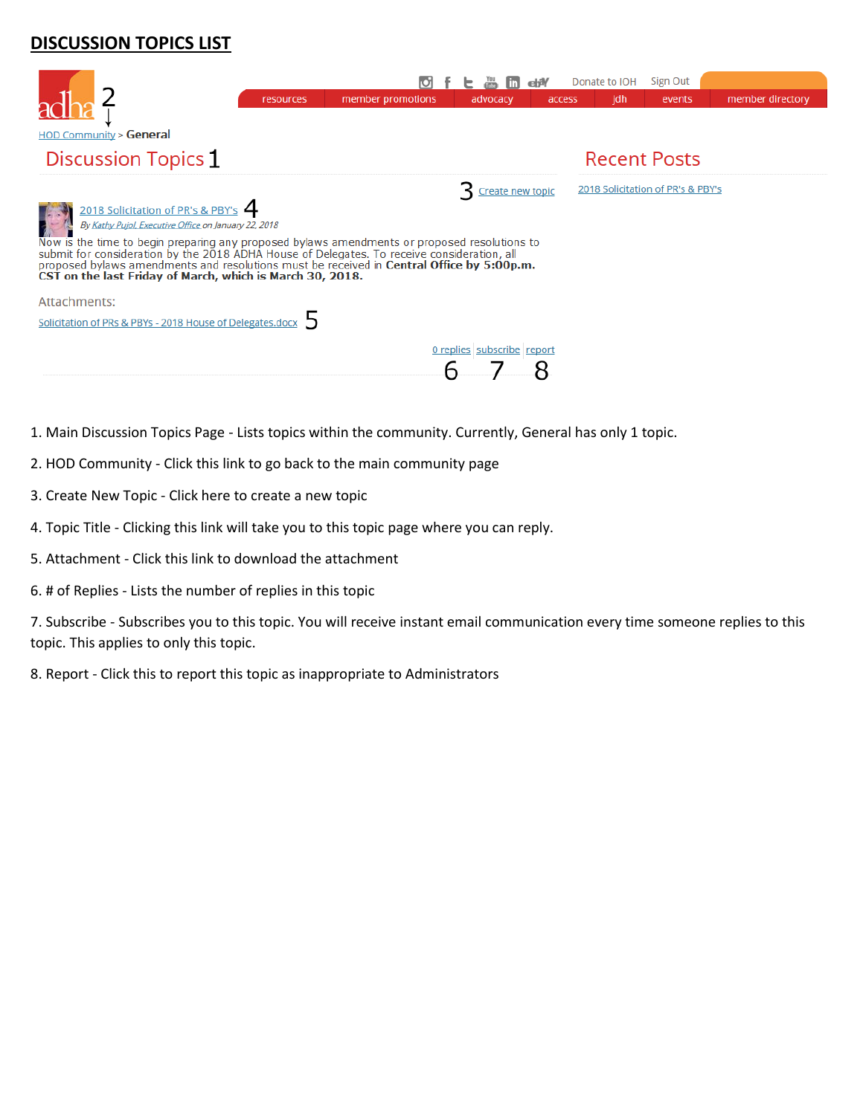### **DISCUSSION TOPICS LIST**

| HOD Community > General                                                                                                                                                                                                                                                                                                                                                                                                                              | resources | member promotions | advocacy                   | et#Y<br>access | Donate to IOH<br>jdh | <b>Sign Out</b><br>events         | member directory |
|------------------------------------------------------------------------------------------------------------------------------------------------------------------------------------------------------------------------------------------------------------------------------------------------------------------------------------------------------------------------------------------------------------------------------------------------------|-----------|-------------------|----------------------------|----------------|----------------------|-----------------------------------|------------------|
| Discussion Topics 1                                                                                                                                                                                                                                                                                                                                                                                                                                  |           |                   |                            |                |                      | <b>Recent Posts</b>               |                  |
| 2018 Solicitation of PR's & PBY's 4<br>By Kathy Pujol, Executive Office on January 22, 2018<br>Now is the time to begin preparing any proposed bylaws amendments or proposed resolutions to<br>submit for consideration by the 2018 ADHA House of Delegates. To receive consideration, all<br>proposed bylaws amendments and resolutions must be received in Central Office by 5:00p.m.<br>CST on the last Friday of March, which is March 30, 2018. |           |                   | Create new topic           |                |                      | 2018 Solicitation of PR's & PBY's |                  |
| Attachments:<br>Solicitation of PRs & PBYs - 2018 House of Delegates.docx                                                                                                                                                                                                                                                                                                                                                                            |           |                   |                            |                |                      |                                   |                  |
|                                                                                                                                                                                                                                                                                                                                                                                                                                                      |           |                   | 0 replies subscribe report |                |                      |                                   |                  |

- 1. Main Discussion Topics Page Lists topics within the community. Currently, General has only 1 topic.
- 2. HOD Community Click this link to go back to the main community page
- 3. Create New Topic Click here to create a new topic
- 4. Topic Title Clicking this link will take you to this topic page where you can reply.
- 5. Attachment Click this link to download the attachment
- 6. # of Replies Lists the number of replies in this topic

7. Subscribe - Subscribes you to this topic. You will receive instant email communication every time someone replies to this topic. This applies to only this topic.

8. Report - Click this to report this topic as inappropriate to Administrators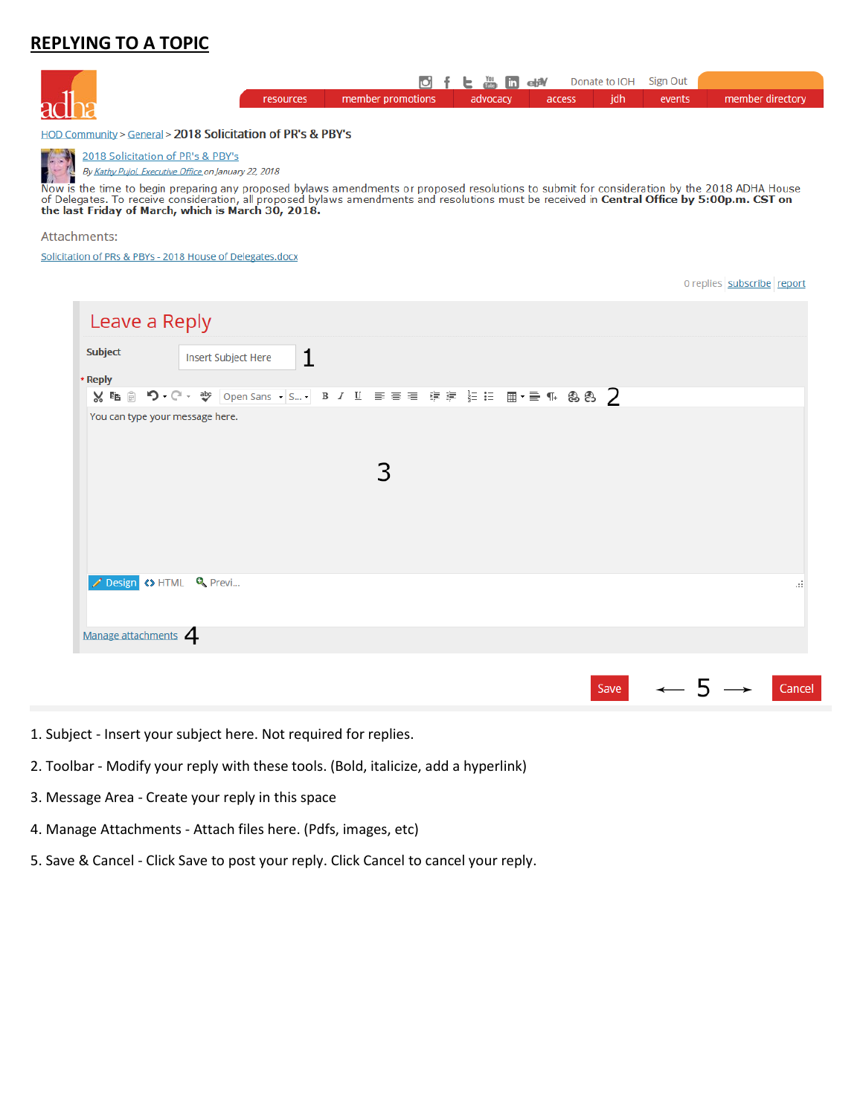### **REPLYING TO A TOPIC**

| resources                                                                                                                                                                                                                                                                                                                                                                                                                                       | member promotions | $L \mod M$<br>advocacy | Donate to IOH Sign Out<br>jdh<br>access | events                         | member directory |
|-------------------------------------------------------------------------------------------------------------------------------------------------------------------------------------------------------------------------------------------------------------------------------------------------------------------------------------------------------------------------------------------------------------------------------------------------|-------------------|------------------------|-----------------------------------------|--------------------------------|------------------|
| HOD Community > General > 2018 Solicitation of PR's & PBY's                                                                                                                                                                                                                                                                                                                                                                                     |                   |                        |                                         |                                |                  |
| 2018 Solicitation of PR's & PBY's<br>By Kathy Pujol, Executive Office on January 22, 2018<br>Now is the time to begin preparing any proposed bylaws amendments or proposed resolutions to submit for consideration by the 2018 ADHA House<br>of Delegates. To receive consideration, all proposed bylaws amendments and resolutions must be received in Central Office by 5:00p.m. CST on<br>the last Friday of March, which is March 30, 2018. |                   |                        |                                         |                                |                  |
| Attachments:                                                                                                                                                                                                                                                                                                                                                                                                                                    |                   |                        |                                         |                                |                  |
| Solicitation of PRs & PBYs - 2018 House of Delegates.docx                                                                                                                                                                                                                                                                                                                                                                                       |                   |                        |                                         |                                |                  |
|                                                                                                                                                                                                                                                                                                                                                                                                                                                 |                   |                        |                                         | 0 replies   subscribe   report |                  |
| Leave a Reply                                                                                                                                                                                                                                                                                                                                                                                                                                   |                   |                        |                                         |                                |                  |
| Subject<br><b>Insert Subject Here</b>                                                                                                                                                                                                                                                                                                                                                                                                           | 1                 |                        |                                         |                                |                  |
| * Reply<br>り· @· abg   Open Sans · S · B / U ままま まま まま 目目 曲· 書 ¶ 88 フ<br><b>XEE</b>                                                                                                                                                                                                                                                                                                                                                             |                   |                        |                                         |                                |                  |
| You can type your message here.                                                                                                                                                                                                                                                                                                                                                                                                                 |                   |                        |                                         |                                |                  |
|                                                                                                                                                                                                                                                                                                                                                                                                                                                 |                   |                        |                                         |                                |                  |
|                                                                                                                                                                                                                                                                                                                                                                                                                                                 | 3                 |                        |                                         |                                |                  |
|                                                                                                                                                                                                                                                                                                                                                                                                                                                 |                   |                        |                                         |                                |                  |
| Design <> HTML Q Previ                                                                                                                                                                                                                                                                                                                                                                                                                          |                   |                        |                                         |                                | al.              |
| Manage attachments $\Delta$                                                                                                                                                                                                                                                                                                                                                                                                                     |                   |                        |                                         |                                |                  |
|                                                                                                                                                                                                                                                                                                                                                                                                                                                 |                   |                        |                                         |                                |                  |
|                                                                                                                                                                                                                                                                                                                                                                                                                                                 |                   |                        | Save                                    | $\leftarrow$ 5 $\rightarrow$   | Cancel           |

- 1. Subject Insert your subject here. Not required for replies.
- 2. Toolbar Modify your reply with these tools. (Bold, italicize, add a hyperlink)
- 3. Message Area Create your reply in this space
- 4. Manage Attachments Attach files here. (Pdfs, images, etc)
- 5. Save & Cancel Click Save to post your reply. Click Cancel to cancel your reply.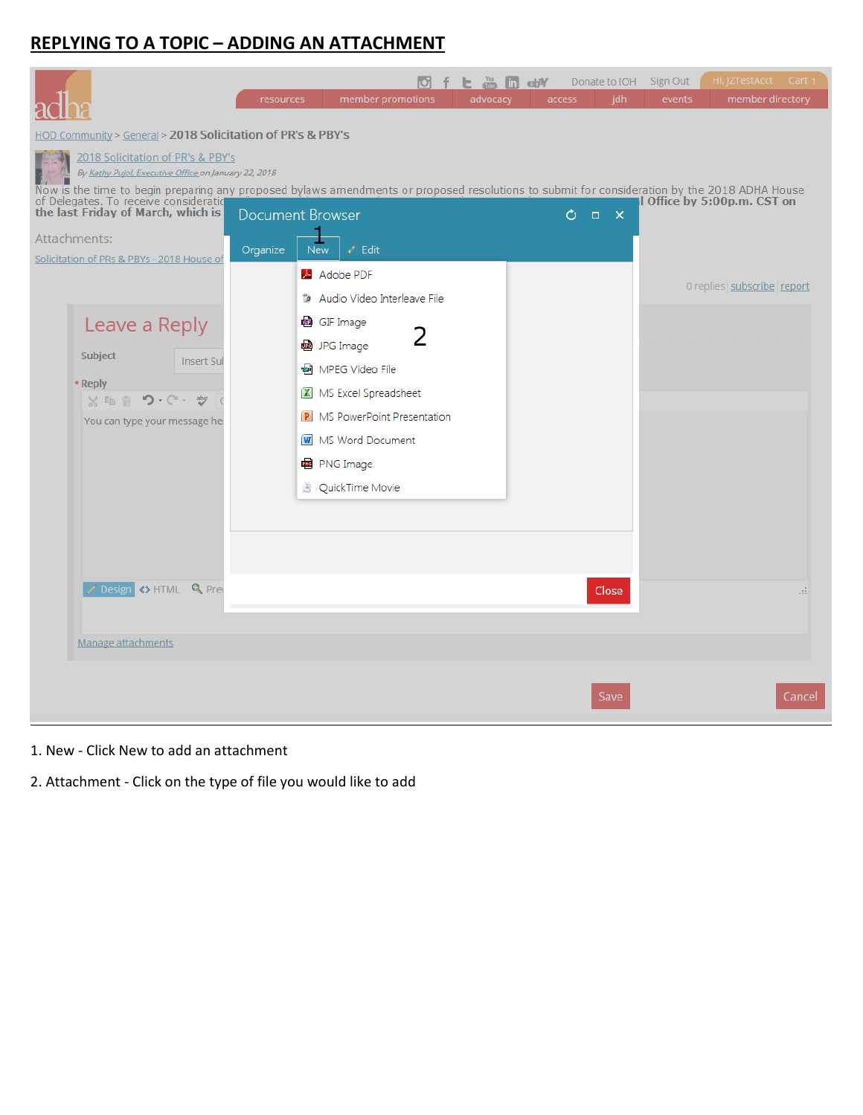|                                                                                                                                                                                                                                                                                                                                                                                        |           |                                                                                                                                                                                                                           | M | $\Box$ $e\partial V$ |        | Donate to IOH Sign Out |        | Hi, JZTestAcct Cart            |        |
|----------------------------------------------------------------------------------------------------------------------------------------------------------------------------------------------------------------------------------------------------------------------------------------------------------------------------------------------------------------------------------------|-----------|---------------------------------------------------------------------------------------------------------------------------------------------------------------------------------------------------------------------------|---|----------------------|--------|------------------------|--------|--------------------------------|--------|
|                                                                                                                                                                                                                                                                                                                                                                                        | resources | member promotions                                                                                                                                                                                                         |   | advocacy             | access | jdh                    | events | member directory               |        |
| HOD Community > General > 2018 Solicitation of PR's & PBY's                                                                                                                                                                                                                                                                                                                            |           |                                                                                                                                                                                                                           |   |                      |        |                        |        |                                |        |
| 2018 Solicitation of PR's & PBY's<br>By Kathy Pujol, Executive Office on January 22, 2018<br>Now is the time to begin preparing any proposed bylaws amendments or proposed resolutions to submit for consideration by the 2018 ADHA House<br>of Delegates. To receive consideratic<br>the last Friday of March, which is<br>Attachments:<br>Solicitation of PRs & PBYs - 2018 House of | Organize  | Document Browser<br>$\lambda$ Edit<br><b>New</b><br>Adobe PDF                                                                                                                                                             |   |                      | O      | $\Box$ $\times$        |        | l Office by 5:00p.m. CST on    |        |
| Leave a Reply<br>Subject<br><b>Insert Sul</b><br>* Reply<br><b>り</b> ・(『・ abg<br><b>※ 脂 自</b><br>You can type your message her                                                                                                                                                                                                                                                         |           | Audio Video Interleave File<br>GIF Image<br><b>De</b> JPG Image<br>MPEG Video File<br>MS Excel Spreadsheet<br><b>P</b> MS PowerPoint Presentation<br><b>W</b> MS Word Document<br><b>1</b> 8 PNG Image<br>QuickTime Movie | 2 |                      |        |                        |        | 0 replies   subscribe   report |        |
| Design <> HTML Q Prev                                                                                                                                                                                                                                                                                                                                                                  |           |                                                                                                                                                                                                                           |   |                      |        | Close                  |        |                                | ui.    |
| Manage attachments                                                                                                                                                                                                                                                                                                                                                                     |           |                                                                                                                                                                                                                           |   |                      |        |                        |        |                                |        |
|                                                                                                                                                                                                                                                                                                                                                                                        |           |                                                                                                                                                                                                                           |   |                      |        | Save                   |        |                                | Cancel |

- 1. New Click New to add an attachment
- 2. Attachment Click on the type of file you would like to add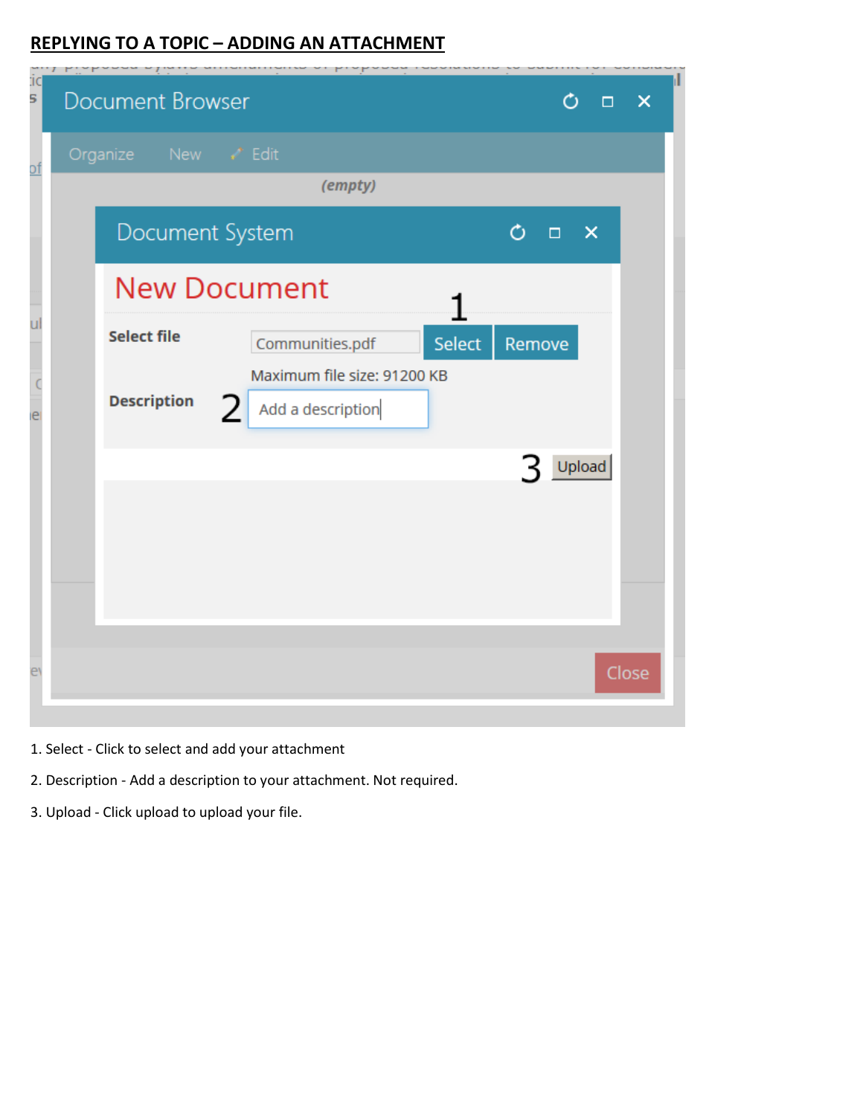| ïс<br>S. | <b>Document Browser</b> |                                                  |        | O           | $\Box$<br>$\times$ |
|----------|-------------------------|--------------------------------------------------|--------|-------------|--------------------|
|          |                         |                                                  |        |             |                    |
| D1       | Organize<br>New         | √ Edit                                           |        |             |                    |
|          |                         | (empty)                                          |        |             |                    |
|          | Document System         |                                                  |        | Õ<br>$\Box$ | $\mathbf{x}$       |
|          | <b>New Document</b>     |                                                  |        |             |                    |
|          | <b>Select file</b>      | Communities.pdf                                  | Select | Remove      |                    |
|          | <b>Description</b>      | Maximum file size: 91200 KB<br>Add a description |        |             |                    |
| e        |                         |                                                  |        |             |                    |
|          |                         |                                                  |        | 3           | Upload             |
|          |                         |                                                  |        |             |                    |
|          |                         |                                                  |        |             |                    |
|          |                         |                                                  |        |             |                    |
|          |                         |                                                  |        |             |                    |
| e        |                         |                                                  |        |             | Close              |
|          |                         |                                                  |        |             |                    |

- 1. Select Click to select and add your attachment
- 2. Description Add a description to your attachment. Not required.
- 3. Upload Click upload to upload your file.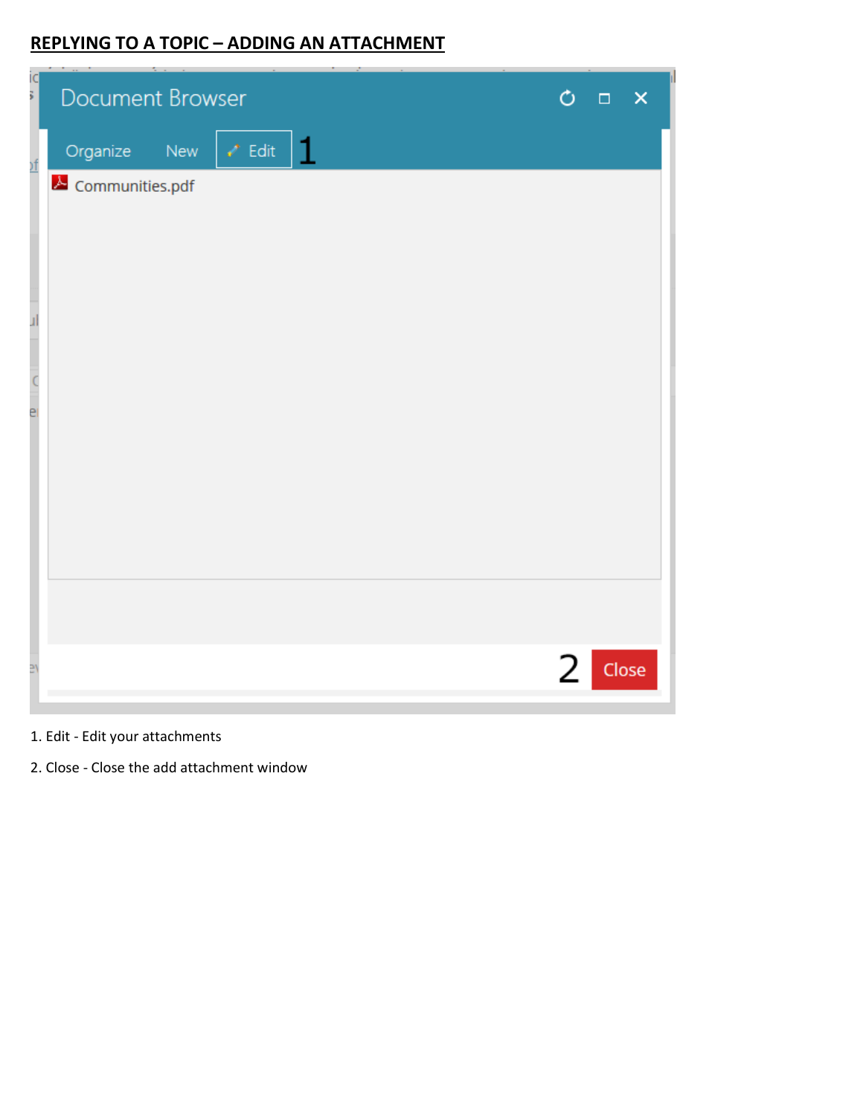| $\frac{1}{2}$ | Document Browser                         | $\circ$<br>$\Box$ $\times$ |
|---------------|------------------------------------------|----------------------------|
| <u>)f</u>     | $\geq$ Edit $\vert$ 1<br>Organize<br>New |                            |
|               | & Communities.pdf                        |                            |
|               |                                          |                            |
|               |                                          |                            |
|               |                                          |                            |
|               |                                          |                            |
|               |                                          |                            |
| e             |                                          |                            |
|               |                                          |                            |
|               |                                          |                            |
|               |                                          |                            |
|               |                                          |                            |
|               |                                          |                            |
|               |                                          | 2<br>Close                 |
|               |                                          |                            |

1. Edit - Edit your attachments

2. Close - Close the add attachment window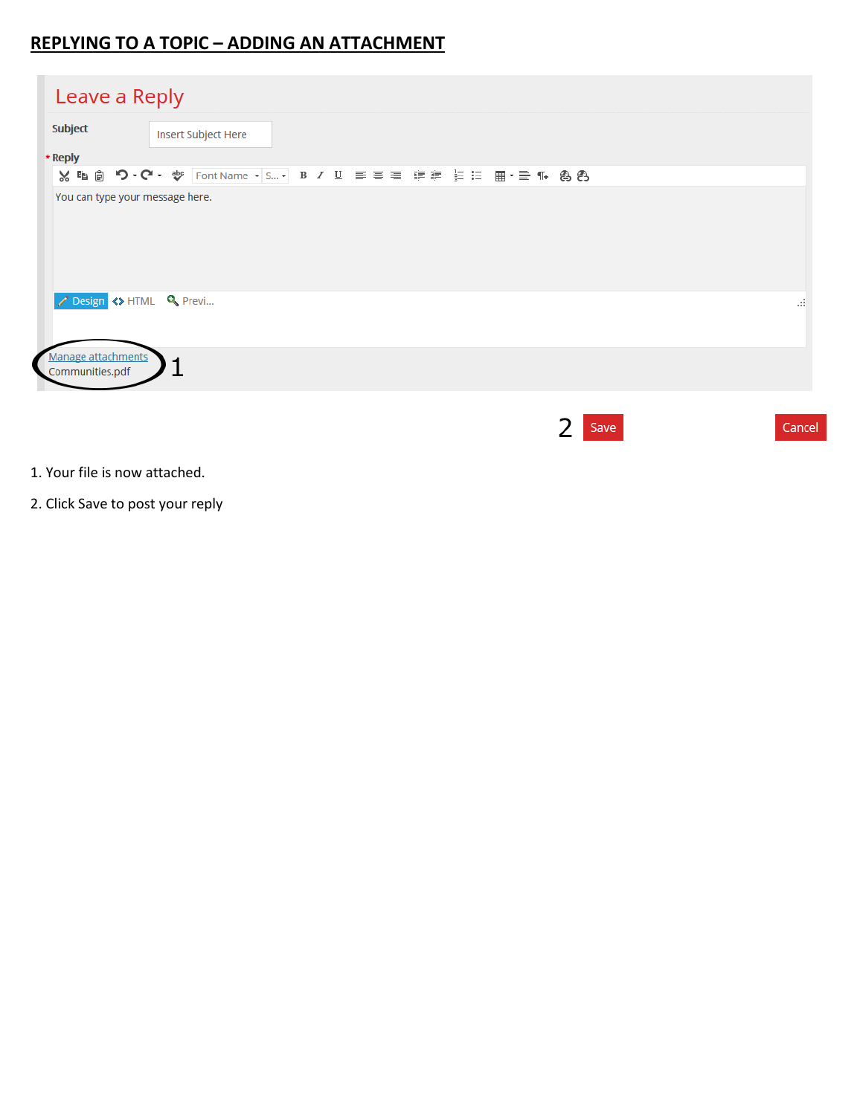| Leave a Reply                         |                                                                |  |  |      |        |
|---------------------------------------|----------------------------------------------------------------|--|--|------|--------|
| Subject                               | Insert Subject Here                                            |  |  |      |        |
| * Reply                               |                                                                |  |  |      |        |
|                                       | ※ 脂 @ つ· C · ☆ Font Name · S · B / U 言言言 律律 }= != 囲· 三 ¶ - & 各 |  |  |      |        |
| You can type your message here.       |                                                                |  |  |      |        |
| Design <> HTML Q Previ                |                                                                |  |  |      | al.    |
| Manage attachments<br>Communities.pdf |                                                                |  |  |      |        |
|                                       |                                                                |  |  | Save | Cancel |

- 1. Your file is now attached.
- 2. Click Save to post your reply